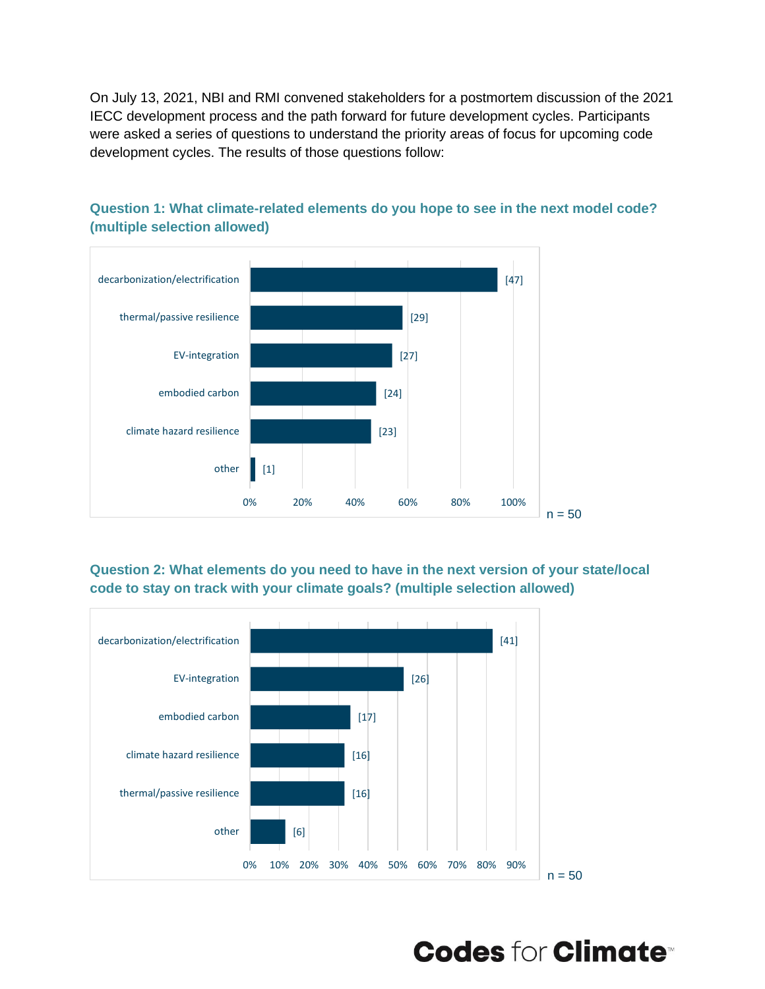On July 13, 2021, NBI and RMI convened stakeholders for a postmortem discussion of the 2021 IECC development process and the path forward for future development cycles. Participants were asked a series of questions to understand the priority areas of focus for upcoming code development cycles. The results of those questions follow:



**Question 1: What climate-related elements do you hope to see in the next model code? (multiple selection allowed)**

**Question 2: What elements do you need to have in the next version of your state/local code to stay on track with your climate goals? (multiple selection allowed)**



**Codes for Climate<sup>®</sup>**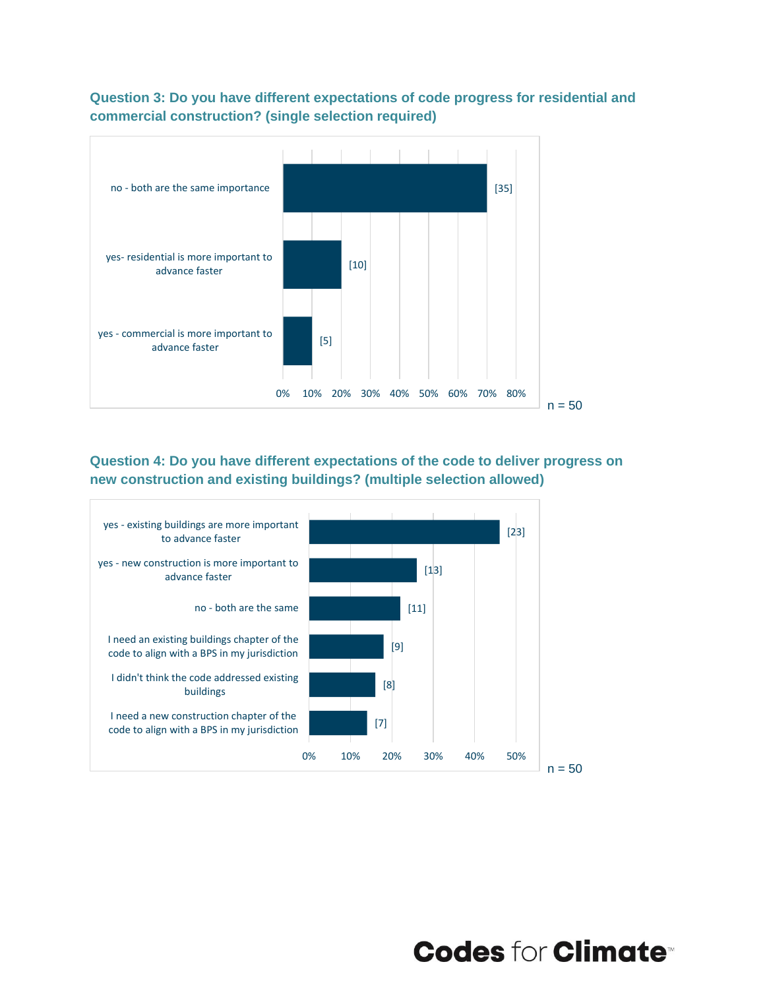

**Question 3: Do you have different expectations of code progress for residential and commercial construction? (single selection required)**

**Question 4: Do you have different expectations of the code to deliver progress on new construction and existing buildings? (multiple selection allowed)**



**Codes for Climate<sup>®</sup>**